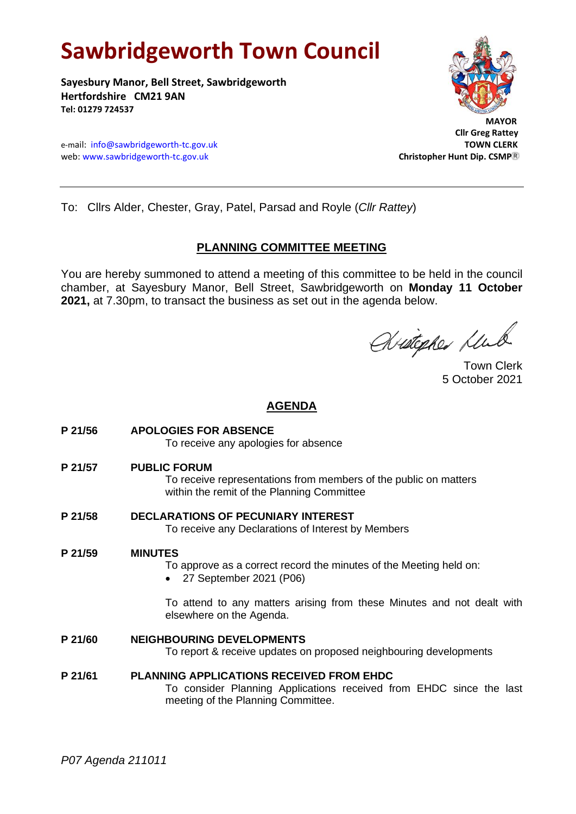# **Sawbridgeworth Town Council**

**Sayesbury Manor, Bell Street, Sawbridgeworth Hertfordshire CM21 9AN Tel: 01279 724537**





 **Cllr Greg Rattey**

To: Cllrs Alder, Chester, Gray, Patel, Parsad and Royle (*Cllr Rattey*)

# **PLANNING COMMITTEE MEETING**

You are hereby summoned to attend a meeting of this committee to be held in the council chamber, at Sayesbury Manor, Bell Street, Sawbridgeworth on **Monday 11 October 2021,** at 7.30pm, to transact the business as set out in the agenda below.

Aristopher Klub

Town Clerk 5 October 2021

# **AGENDA**

- **P 21/56 APOLOGIES FOR ABSENCE** To receive any apologies for absence
- **P 21/57 PUBLIC FORUM**

To receive representations from members of the public on matters within the remit of the Planning Committee

**P 21/58 DECLARATIONS OF PECUNIARY INTEREST** To receive any Declarations of Interest by Members

# **P 21/59 MINUTES**

To approve as a correct record the minutes of the Meeting held on:

• 27 September 2021 (P06)

To attend to any matters arising from these Minutes and not dealt with elsewhere on the Agenda.

# **P 21/60 NEIGHBOURING DEVELOPMENTS**

To report & receive updates on proposed neighbouring developments

**P 21/61 PLANNING APPLICATIONS RECEIVED FROM EHDC** To consider Planning Applications received from EHDC since the last meeting of the Planning Committee.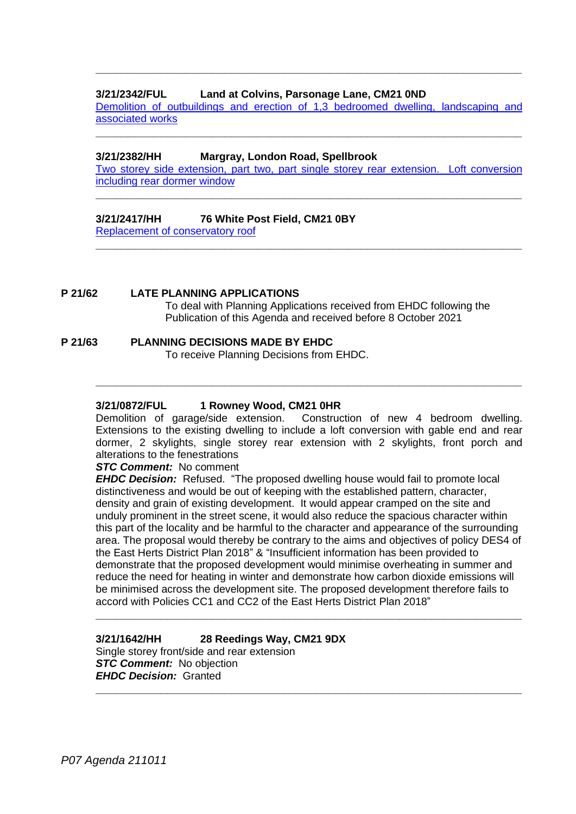# **3/21/2342/FUL Land at Colvins, Parsonage Lane, CM21 0ND**

[Demolition of outbuildings and erection of 1,3 bedroomed dwelling, landscaping and](https://publicaccess.eastherts.gov.uk/online-applications/applicationDetails.do?activeTab=documents&keyVal=QZ69RFGLGZ400) [associated works](https://publicaccess.eastherts.gov.uk/online-applications/applicationDetails.do?activeTab=documents&keyVal=QZ69RFGLGZ400) **\_\_\_\_\_\_\_\_\_\_\_\_\_\_\_\_\_\_\_\_\_\_\_\_\_\_\_\_\_\_\_\_\_\_\_\_\_\_\_\_\_\_\_\_\_\_\_\_\_\_\_\_\_\_\_\_\_\_\_\_\_\_\_\_\_\_**

**\_\_\_\_\_\_\_\_\_\_\_\_\_\_\_\_\_\_\_\_\_\_\_\_\_\_\_\_\_\_\_\_\_\_\_\_\_\_\_\_\_\_\_\_\_\_\_\_\_\_\_\_\_\_\_\_\_\_\_\_\_\_\_\_\_\_**

### **3/21/2382/HH Margray, London Road, Spellbrook**

[Two storey side extension, part two, part single storey rear extension. Loft conversion](https://publicaccess.eastherts.gov.uk/online-applications/applicationDetails.do?activeTab=documents&keyVal=QZFJ45GLH1Z00)  [including rear dormer window](https://publicaccess.eastherts.gov.uk/online-applications/applicationDetails.do?activeTab=documents&keyVal=QZFJ45GLH1Z00)

**\_\_\_\_\_\_\_\_\_\_\_\_\_\_\_\_\_\_\_\_\_\_\_\_\_\_\_\_\_\_\_\_\_\_\_\_\_\_\_\_\_\_\_\_\_\_\_\_\_\_\_\_\_\_\_\_\_\_\_\_\_\_\_\_\_\_**

**\_\_\_\_\_\_\_\_\_\_\_\_\_\_\_\_\_\_\_\_\_\_\_\_\_\_\_\_\_\_\_\_\_\_\_\_\_\_\_\_\_\_\_\_\_\_\_\_\_\_\_\_\_\_\_\_\_\_\_\_\_\_\_\_\_\_**

### **3/21/2417/HH 76 White Post Field, CM21 0BY**

[Replacement of conservatory](https://publicaccess.eastherts.gov.uk/online-applications/applicationDetails.do?keyVal=QZQCFJGLH4O00&activeTab=summary) roof

# **P 21/62 LATE PLANNING APPLICATIONS**

To deal with Planning Applications received from EHDC following the Publication of this Agenda and received before 8 October 2021

# **P 21/63 PLANNING DECISIONS MADE BY EHDC**

To receive Planning Decisions from EHDC.

### **3/21/0872/FUL 1 Rowney Wood, CM21 0HR**

Demolition of garage/side extension. Construction of new 4 bedroom dwelling. Extensions to the existing dwelling to include a loft conversion with gable end and rear dormer, 2 skylights, single storey rear extension with 2 skylights, front porch and alterations to the fenestrations

**\_\_\_\_\_\_\_\_\_\_\_\_\_\_\_\_\_\_\_\_\_\_\_\_\_\_\_\_\_\_\_\_\_\_\_\_\_\_\_\_\_\_\_\_\_\_\_\_\_\_\_\_\_\_\_\_\_\_\_\_\_\_\_\_\_\_**

#### *STC Comment:* No comment

*EHDC Decision:* Refused. "The proposed dwelling house would fail to promote local distinctiveness and would be out of keeping with the established pattern, character, density and grain of existing development. It would appear cramped on the site and unduly prominent in the street scene, it would also reduce the spacious character within this part of the locality and be harmful to the character and appearance of the surrounding area. The proposal would thereby be contrary to the aims and objectives of policy DES4 of the East Herts District Plan 2018" & "Insufficient information has been provided to demonstrate that the proposed development would minimise overheating in summer and reduce the need for heating in winter and demonstrate how carbon dioxide emissions will be minimised across the development site. The proposed development therefore fails to accord with Policies CC1 and CC2 of the East Herts District Plan 2018"

**\_\_\_\_\_\_\_\_\_\_\_\_\_\_\_\_\_\_\_\_\_\_\_\_\_\_\_\_\_\_\_\_\_\_\_\_\_\_\_\_\_\_\_\_\_\_\_\_\_\_\_\_\_\_\_\_\_\_\_\_\_\_\_\_\_\_**

**\_\_\_\_\_\_\_\_\_\_\_\_\_\_\_\_\_\_\_\_\_\_\_\_\_\_\_\_\_\_\_\_\_\_\_\_\_\_\_\_\_\_\_\_\_\_\_\_\_\_\_\_\_\_\_\_\_\_\_\_\_\_\_\_\_\_**

### **3/21/1642/HH 28 Reedings Way, CM21 9DX**

Single storey front/side and rear extension *STC Comment:* No objection *EHDC Decision:* Granted